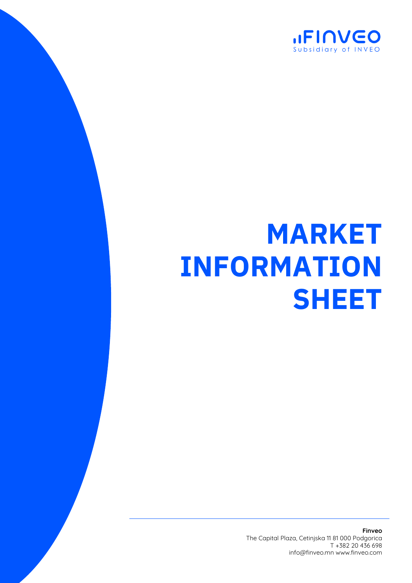

## **MARKET INFORMATION SHEET**

**Finveo** The Capital Plaza, Cetinjska 11 81 000 Podgorica T +382 20 436 698 info@finveo.mn www.finveo.com